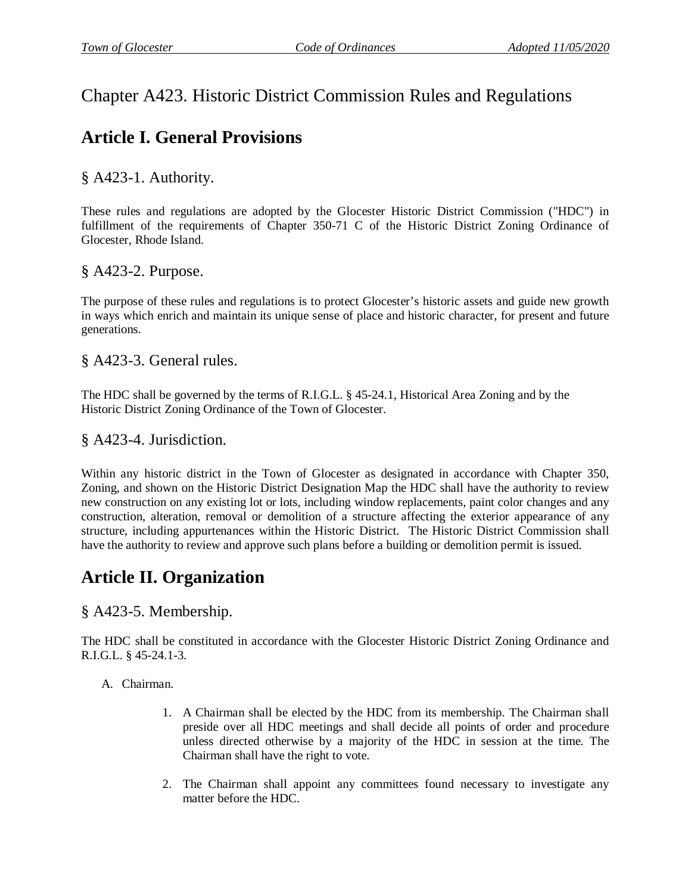## Chapter A423. Historic District Commission Rules and Regulations

# **Article I. General Provisions**

§ A423-1. Authority.

These rules and regulations are adopted by the Glocester Historic District Commission ("HDC") in fulfillment of the requirements of Chapter 350-71 C of the Historic District Zoning Ordinance of Glocester, Rhode Island.

§ A423-2. Purpose.

The purpose of these rules and regulations is to protect Glocester's historic assets and guide new growth in ways which enrich and maintain its unique sense of place and historic character, for present and future generations.

§ A423-3. General rules.

The HDC shall be governed by the terms of R.I.G.L. § 45-24.1, Historical Area Zoning and by the Historic District Zoning Ordinance of the Town of Glocester.

### § A423-4. Jurisdiction.

Within any historic district in the Town of Glocester as designated in accordance with Chapter 350, Zoning, and shown on the Historic District Designation Map the HDC shall have the authority to review new construction on any existing lot or lots, including window replacements, paint color changes and any construction, alteration, removal or demolition of a structure affecting the exterior appearance of any structure, including appurtenances within the Historic District. The Historic District Commission shall have the authority to review and approve such plans before a building or demolition permit is issued.

# **Article II. Organization**

§ A423-5. Membership.

The HDC shall be constituted in accordance with the Glocester Historic District Zoning Ordinance and R.I.G.L. § 45-24.1-3.

A. Chairman.

- 1. A Chairman shall be elected by the HDC from its membership. The Chairman shall preside over all HDC meetings and shall decide all points of order and procedure unless directed otherwise by a majority of the HDC in session at the time. The Chairman shall have the right to vote.
- 2. The Chairman shall appoint any committees found necessary to investigate any matter before the HDC.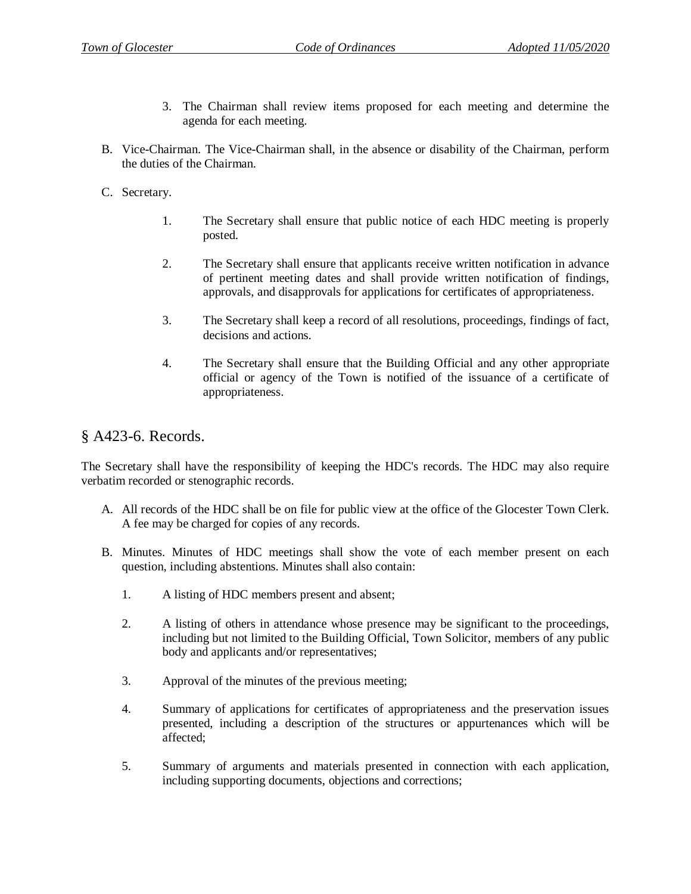- 3. The Chairman shall review items proposed for each meeting and determine the agenda for each meeting.
- B. Vice-Chairman. The Vice-Chairman shall, in the absence or disability of the Chairman, perform the duties of the Chairman.
- C. Secretary.
	- 1. The Secretary shall ensure that public notice of each HDC meeting is properly posted.
	- 2. The Secretary shall ensure that applicants receive written notification in advance of pertinent meeting dates and shall provide written notification of findings, approvals, and disapprovals for applications for certificates of appropriateness.
	- 3. The Secretary shall keep a record of all resolutions, proceedings, findings of fact, decisions and actions.
	- 4. The Secretary shall ensure that the Building Official and any other appropriate official or agency of the Town is notified of the issuance of a certificate of appropriateness.

#### § A423-6. Records.

The Secretary shall have the responsibility of keeping the HDC's records. The HDC may also require verbatim recorded or stenographic records.

- A. All records of the HDC shall be on file for public view at the office of the Glocester Town Clerk. A fee may be charged for copies of any records.
- B. Minutes. Minutes of HDC meetings shall show the vote of each member present on each question, including abstentions. Minutes shall also contain:
	- 1. A listing of HDC members present and absent;
	- 2. A listing of others in attendance whose presence may be significant to the proceedings, including but not limited to the Building Official, Town Solicitor, members of any public body and applicants and/or representatives;
	- 3. Approval of the minutes of the previous meeting;
	- 4. Summary of applications for certificates of appropriateness and the preservation issues presented, including a description of the structures or appurtenances which will be affected;
	- 5. Summary of arguments and materials presented in connection with each application, including supporting documents, objections and corrections;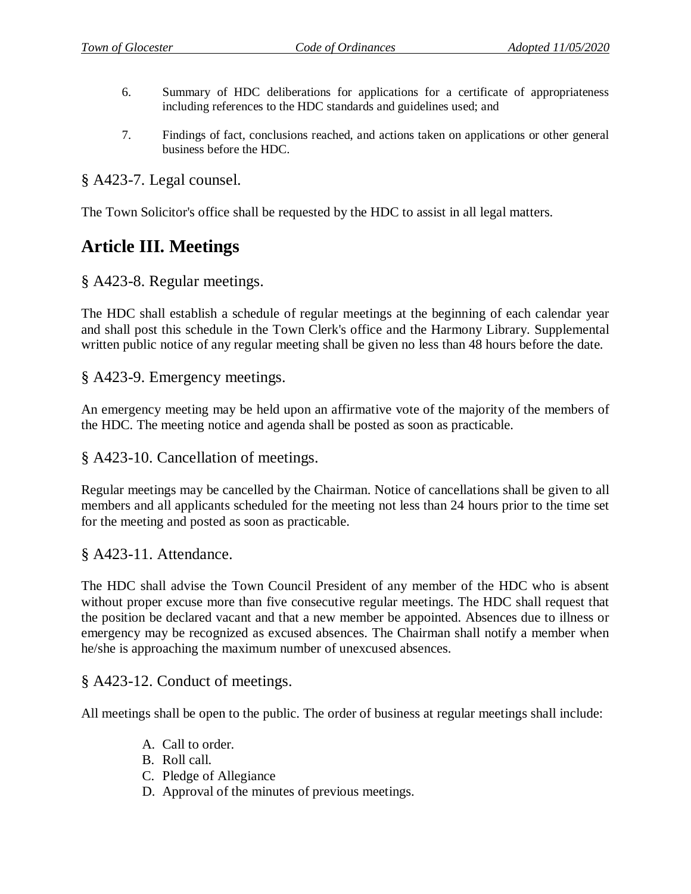- 6. Summary of HDC deliberations for applications for a certificate of appropriateness including references to the HDC standards and guidelines used; and
- 7. Findings of fact, conclusions reached, and actions taken on applications or other general business before the HDC.

#### § A423-7. Legal counsel.

The Town Solicitor's office shall be requested by the HDC to assist in all legal matters.

### **Article III. Meetings**

#### § A423-8. Regular meetings.

The HDC shall establish a schedule of regular meetings at the beginning of each calendar year and shall post this schedule in the Town Clerk's office and the Harmony Library. Supplemental written public notice of any regular meeting shall be given no less than 48 hours before the date.

### § A423-9. Emergency meetings.

An emergency meeting may be held upon an affirmative vote of the majority of the members of the HDC. The meeting notice and agenda shall be posted as soon as practicable.

#### § A423-10. Cancellation of meetings.

Regular meetings may be cancelled by the Chairman. Notice of cancellations shall be given to all members and all applicants scheduled for the meeting not less than 24 hours prior to the time set for the meeting and posted as soon as practicable.

#### § A423-11. Attendance.

The HDC shall advise the Town Council President of any member of the HDC who is absent without proper excuse more than five consecutive regular meetings. The HDC shall request that the position be declared vacant and that a new member be appointed. Absences due to illness or emergency may be recognized as excused absences. The Chairman shall notify a member when he/she is approaching the maximum number of unexcused absences.

#### § A423-12. Conduct of meetings.

All meetings shall be open to the public. The order of business at regular meetings shall include:

- A. Call to order.
- B. Roll call.
- C. Pledge of Allegiance
- D. Approval of the minutes of previous meetings.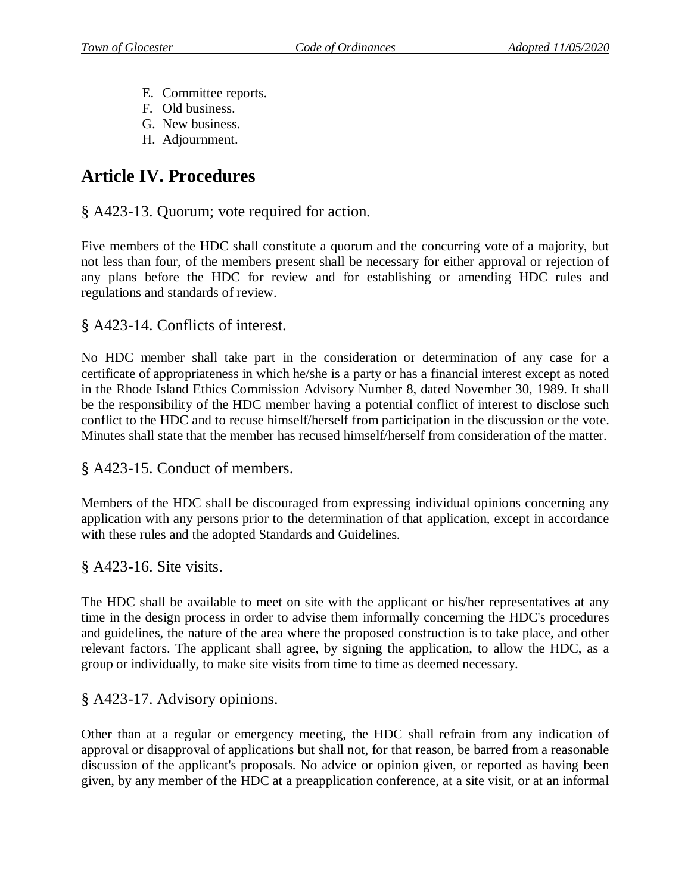- E. Committee reports.
- F. Old business.
- G. New business.
- H. Adjournment.

## **Article IV. Procedures**

§ A423-13. Quorum; vote required for action.

Five members of the HDC shall constitute a quorum and the concurring vote of a majority, but not less than four, of the members present shall be necessary for either approval or rejection of any plans before the HDC for review and for establishing or amending HDC rules and regulations and standards of review.

§ A423-14. Conflicts of interest.

No HDC member shall take part in the consideration or determination of any case for a certificate of appropriateness in which he/she is a party or has a financial interest except as noted in the Rhode Island Ethics Commission Advisory Number 8, dated November 30, 1989. It shall be the responsibility of the HDC member having a potential conflict of interest to disclose such conflict to the HDC and to recuse himself/herself from participation in the discussion or the vote. Minutes shall state that the member has recused himself/herself from consideration of the matter.

§ A423-15. Conduct of members.

Members of the HDC shall be discouraged from expressing individual opinions concerning any application with any persons prior to the determination of that application, except in accordance with these rules and the adopted Standards and Guidelines.

§ A423-16. Site visits.

The HDC shall be available to meet on site with the applicant or his/her representatives at any time in the design process in order to advise them informally concerning the HDC's procedures and guidelines, the nature of the area where the proposed construction is to take place, and other relevant factors. The applicant shall agree, by signing the application, to allow the HDC, as a group or individually, to make site visits from time to time as deemed necessary.

### § A423-17. Advisory opinions.

Other than at a regular or emergency meeting, the HDC shall refrain from any indication of approval or disapproval of applications but shall not, for that reason, be barred from a reasonable discussion of the applicant's proposals. No advice or opinion given, or reported as having been given, by any member of the HDC at a preapplication conference, at a site visit, or at an informal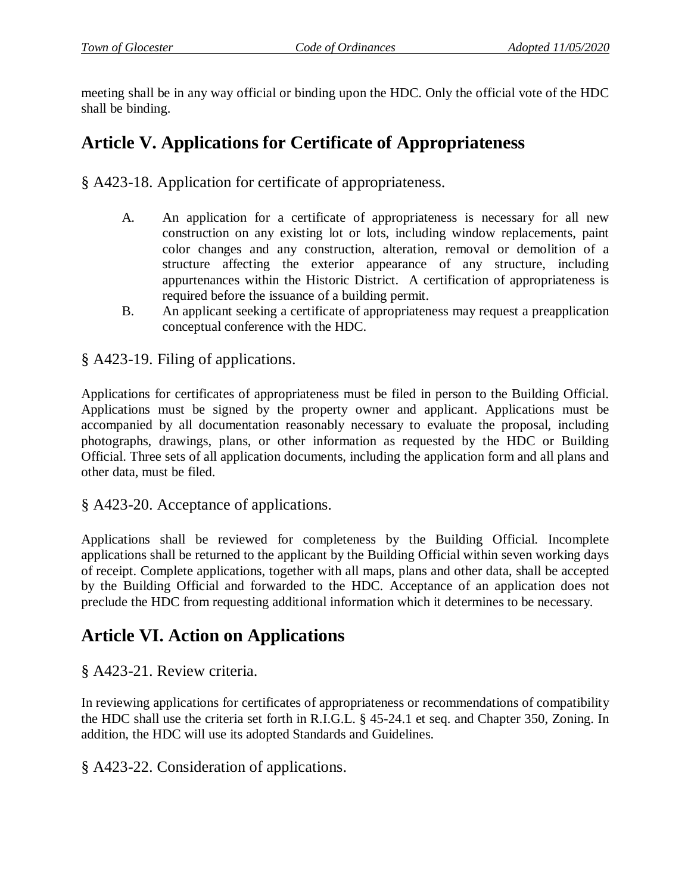meeting shall be in any way official or binding upon the HDC. Only the official vote of the HDC shall be binding.

# **Article V. Applications for Certificate of Appropriateness**

§ A423-18. Application for certificate of appropriateness.

- A. An application for a certificate of appropriateness is necessary for all new construction on any existing lot or lots, including window replacements, paint color changes and any construction, alteration, removal or demolition of a structure affecting the exterior appearance of any structure, including appurtenances within the Historic District. A certification of appropriateness is required before the issuance of a building permit.
- B. An applicant seeking a certificate of appropriateness may request a preapplication conceptual conference with the HDC.

§ A423-19. Filing of applications.

Applications for certificates of appropriateness must be filed in person to the Building Official. Applications must be signed by the property owner and applicant. Applications must be accompanied by all documentation reasonably necessary to evaluate the proposal, including photographs, drawings, plans, or other information as requested by the HDC or Building Official. Three sets of all application documents, including the application form and all plans and other data, must be filed.

§ A423-20. Acceptance of applications.

Applications shall be reviewed for completeness by the Building Official. Incomplete applications shall be returned to the applicant by the Building Official within seven working days of receipt. Complete applications, together with all maps, plans and other data, shall be accepted by the Building Official and forwarded to the HDC. Acceptance of an application does not preclude the HDC from requesting additional information which it determines to be necessary.

### **Article VI. Action on Applications**

§ A423-21. Review criteria.

In reviewing applications for certificates of appropriateness or recommendations of compatibility the HDC shall use the criteria set forth in R.I.G.L. § 45-24.1 et seq. and Chapter 350, Zoning. In addition, the HDC will use its adopted Standards and Guidelines.

§ A423-22. Consideration of applications.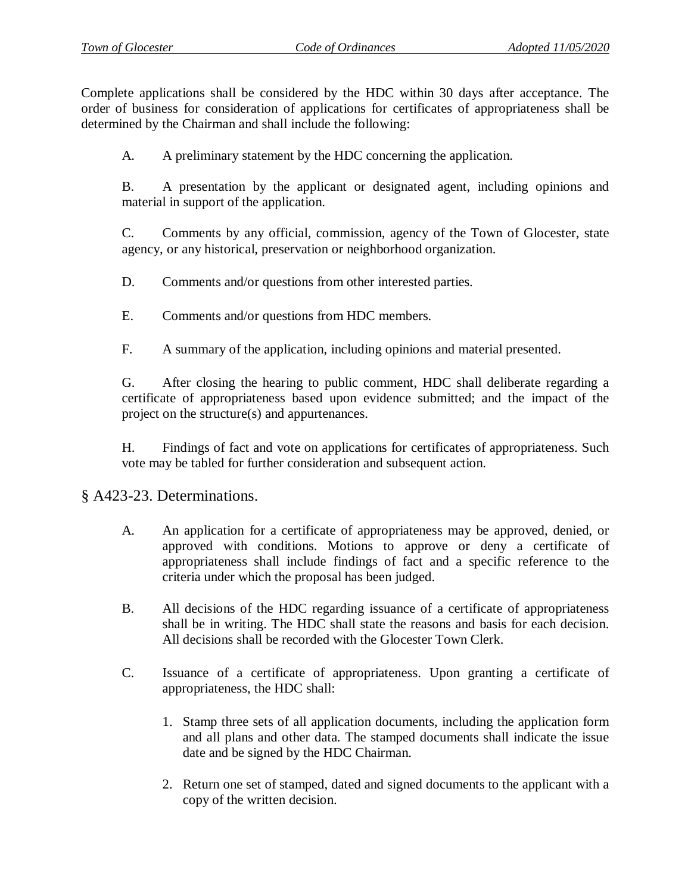Complete applications shall be considered by the HDC within 30 days after acceptance. The order of business for consideration of applications for certificates of appropriateness shall be determined by the Chairman and shall include the following:

A. A preliminary statement by the HDC concerning the application.

B. A presentation by the applicant or designated agent, including opinions and material in support of the application.

C. Comments by any official, commission, agency of the Town of Glocester, state agency, or any historical, preservation or neighborhood organization.

D. Comments and/or questions from other interested parties.

- E. Comments and/or questions from HDC members.
- F. A summary of the application, including opinions and material presented.

G. After closing the hearing to public comment, HDC shall deliberate regarding a certificate of appropriateness based upon evidence submitted; and the impact of the project on the structure(s) and appurtenances.

H. Findings of fact and vote on applications for certificates of appropriateness. Such vote may be tabled for further consideration and subsequent action.

#### § A423-23. Determinations.

- A. An application for a certificate of appropriateness may be approved, denied, or approved with conditions. Motions to approve or deny a certificate of appropriateness shall include findings of fact and a specific reference to the criteria under which the proposal has been judged.
- B. All decisions of the HDC regarding issuance of a certificate of appropriateness shall be in writing. The HDC shall state the reasons and basis for each decision. All decisions shall be recorded with the Glocester Town Clerk.
- C. Issuance of a certificate of appropriateness. Upon granting a certificate of appropriateness, the HDC shall:
	- 1. Stamp three sets of all application documents, including the application form and all plans and other data. The stamped documents shall indicate the issue date and be signed by the HDC Chairman.
	- 2. Return one set of stamped, dated and signed documents to the applicant with a copy of the written decision.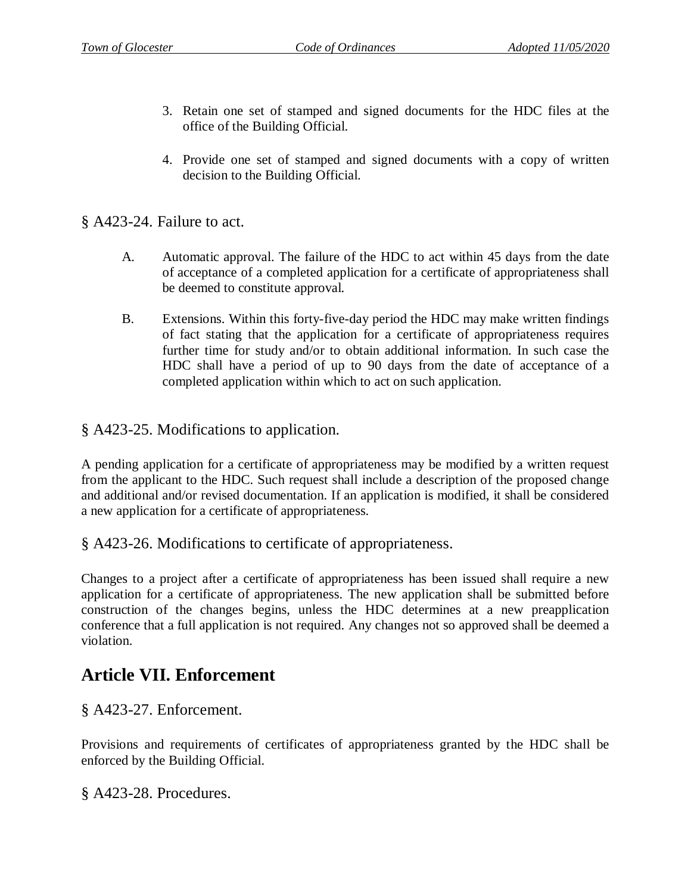- 3. Retain one set of stamped and signed documents for the HDC files at the office of the Building Official.
- 4. Provide one set of stamped and signed documents with a copy of written decision to the Building Official.

§ A423-24. Failure to act.

- A. Automatic approval. The failure of the HDC to act within 45 days from the date of acceptance of a completed application for a certificate of appropriateness shall be deemed to constitute approval.
- B. Extensions. Within this forty-five-day period the HDC may make written findings of fact stating that the application for a certificate of appropriateness requires further time for study and/or to obtain additional information. In such case the HDC shall have a period of up to 90 days from the date of acceptance of a completed application within which to act on such application.

§ A423-25. Modifications to application.

A pending application for a certificate of appropriateness may be modified by a written request from the applicant to the HDC. Such request shall include a description of the proposed change and additional and/or revised documentation. If an application is modified, it shall be considered a new application for a certificate of appropriateness.

§ A423-26. Modifications to certificate of appropriateness.

Changes to a project after a certificate of appropriateness has been issued shall require a new application for a certificate of appropriateness. The new application shall be submitted before construction of the changes begins, unless the HDC determines at a new preapplication conference that a full application is not required. Any changes not so approved shall be deemed a violation.

### **Article VII. Enforcement**

§ A423-27. Enforcement.

Provisions and requirements of certificates of appropriateness granted by the HDC shall be enforced by the Building Official.

§ A423-28. Procedures.